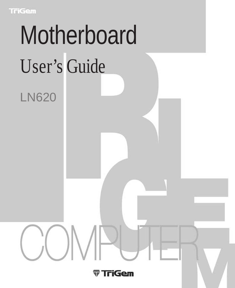**TriGem** 

# **Motherboard** User's Guide LN620**TriGem**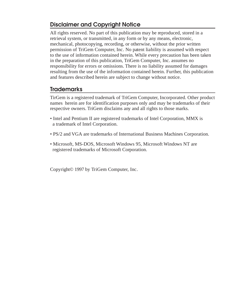#### **Disclaimer and Copyright Notice**

All rights reserved. No part of this publication may be reproduced, stored in a retrieval system, or transmitted, in any form or by any means, electronic, mechanical, photocopying, recording, or otherwise, without the prior written permission of TriGem Computer, Inc. No patent liability is assumed with respect to the use of information contained herein. While every precaution has been taken in the preparation of this publication, TriGem Computer, Inc. assumes no responsibility for errors or omissions. There is no liability assumed for damages resulting from the use of the information contained herein. Further, this publication and features described herein are subject to change without notice.

#### **Trademarks**

TirGem is a registered trademark of TriGem Computer, Incorporated. Other product names herein are for identification purposes only and may be trademarks of their respective owners. TriGem disclaims any and all rights to those marks.

- Intel and Pentium II are registered trademarks of Intel Corporation, MMX is a trademark of Intel Corporation.
- PS/2 and VGA are trademarks of International Business Machines Corporation.
- Microsoft, MS-DOS, Microsoft Windows 95, Microsoft Windows NT are registered trademarks of Microsoft Corporation.

Copyright© 1997 by TriGem Computer, Inc.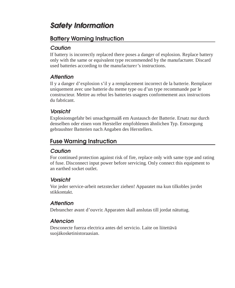# **Safety Information Safety Information**

#### **Battery Warning Instruction**

#### **Caution**

If battery is incorrectly replaced there poses a danger of explosion. Replace battery only with the same or equivalent type recommended by the manufacturer. Discard used batteries according to the manufacturer's instructions.

#### **Attention**

Il y a danger d'explosion s'il y a remplacement incorrect de la batterie. Remplacer uniquement avec une batterie du meme type ou d'un type recommande par le constructeur. Mettre au rebut les batteries usagees conformement aux instructions du fabricant.

#### **Vorsicht**

Explosionsgefahr bei unsachgemaäß em Austausch der Batterie. Ersatz nur durch denselben oder einen vom Hersteller empfohlenen ähnlichen Typ. Entsorgung gebraushter Batterien nach Angaben des Herstellers.

#### **Fuse Warning Instruction**

#### **Caution**

For continued protection against risk of fire, replace only with same type and rating of fuse. Disconnect input power before servicing. Only connect this equipment to an earthed socket outlet.

#### **Vorsicht**

Vor jeder service-arbeit netzstecker ziehen! Apparatet ma kun tilkobles jordet stikkontakt.

#### **Attention**

Debrancher avant d'ouvrir. Apparaten skall anslutas till jordat nätuttag.

#### **Atencion**

Desconecte fuerza electrica antes del servicio. Laite on liitettävä suojäkosketinistoraasian.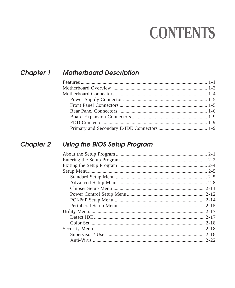# **CONTENTS**

#### **Chapter 1 Motherboard Description**

#### **Chapter 2 Using the BIOS Setup Program**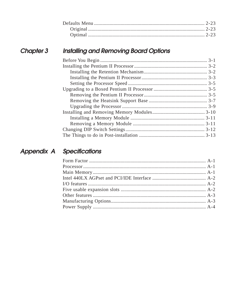#### **Chapter 3** Installing and Removing Board Options

#### Appendix A Specifications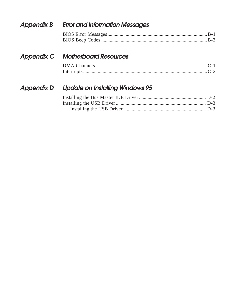| <b>Appendix B</b> | <b>Error and Information Messages</b>   |  |
|-------------------|-----------------------------------------|--|
|                   |                                         |  |
|                   | <b>Appendix C</b> Motherboard Resources |  |
|                   |                                         |  |
| <b>Appendix D</b> | <b>Update on Installing Windows 95</b>  |  |
|                   |                                         |  |
|                   |                                         |  |
|                   |                                         |  |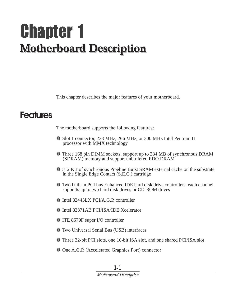# <span id="page-6-0"></span>Chapter 1 **Motherboard Description Motherboard Description**

This chapter describes the major features of your motherboard.

# **Features**

The motherboard supports the following features:

- Slot 1 connector, 233 MHz, 266 MHz, or 300 MHz Intel Pentium II processor with MMX technology
- Three 168 pin DIMM sockets, support up to 384 MB of synchronous DRAM (SDRAM) memory and support unbuffered EDO DRAM
- 512 KB of synchronous Pipeline Burst SRAM external cache on the substrate in the Single Edge Contact (S.E.C.) cartridge
- Two built-in PCI bus Enhanced IDE hard disk drive controllers, each channel supports up to two hard disk drives or CD-ROM drives
- Intel 82443LX PCI/A.G.P. controller
- Intel 82371AB PCI/ISA/IDE Xcelerator
- ITE 8679F super I/O controller
- Two Universal Serial Bus (USB) interfaces
- Three 32-bit PCI slots, one 16-bit ISA slot, and one shared PCI/ISA slot
- One A.G.P. (Accelerated Graphics Port) connector

#### *1-1*

#### *Motherboard Description*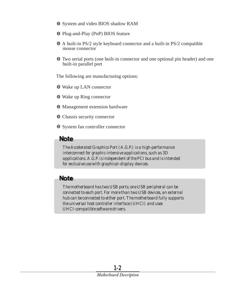- System and video BIOS shadow RAM
- Plug-and-Play (PnP) BIOS feature
- A built-in PS/2 style keyboard connector and a built-in PS/2 compatible mouse connector
- Two serial ports (one built-in connector and one optional pin header) and one built-in parallel port

The following are manufacturing options:

- Wake up LAN connector
- Wake up Ring connector
- Management extension hardware
- Chassis security connector
- System fan controller connector

#### Note.

*The Accelerated Graphics Port (A.G.P.) is a high-performance interconnect for graphic-intensive applications, such as 3D applications. A.G.P. is independent of the PCI bus and is intended for exclusive use with graphical-display devices.*

#### **Note**

*The motherboard has two USB ports; one USB peripheral can be connected to each port. For more than two USB devices, an external hub can be connected to either port. The motherboard fully supports the universal host controller interface (UHCI) and uses UHCI-compatible software drivers.*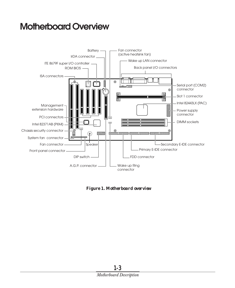# <span id="page-8-0"></span>**Motherboard Overview**



*Figure 1. Motherboard overview*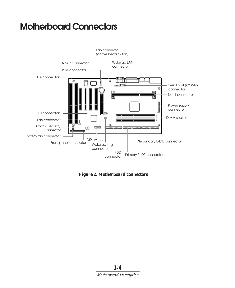# <span id="page-9-0"></span>**Motherboard Connectors**



*Figure 2. Motherboard connectors*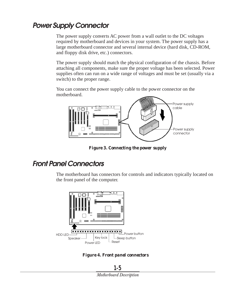# <span id="page-10-0"></span>**Power Supply Connector**

The power supply converts AC power from a wall outlet to the DC voltages required by motherboard and devices in your system. The power supply has a large motherboard connector and several internal device (hard disk, CD-ROM, and floppy disk drive, etc.) connectors.

The power supply should match the physical configuration of the chassis. Before attaching all components, make sure the proper voltage has been selected. Power supplies often can run on a wide range of voltages and must be set (usually via a switch) to the proper range.

You can connect the power supply cable to the power connector on the motherboard.



*Figure 3. Connecting the power supply*

#### **Front Panel Connectors**

The motherboard has connectors for controls and indicators typically located on the front panel of the computer.



*Figure 4. Front panel connectors*

*1-5 Motherboard Description*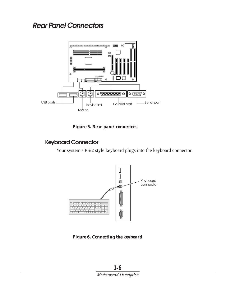#### <span id="page-11-0"></span>**Rear Panel Connectors**



*Figure 5. Rear panel connectors*

#### **Keyboard Connector**

Your system's PS/2 style keyboard plugs into the keyboard connector.



*Figure 6. Connecting the keyboard*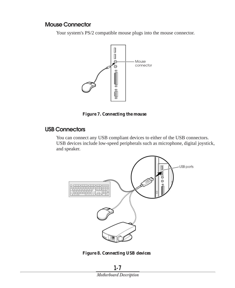#### **Mouse Connector**

Your system's PS/2 compatible mouse plugs into the mouse connector.



*Figure 7. Connecting the mouse*

#### **USB Connectors**

You can connect any USB compliant devices to either of the USB connectors. USB devices include low-speed peripherals such as microphone, digital joystick, and speaker.



*Figure 8. Connecting USB devices*

*1-7 Motherboard Description*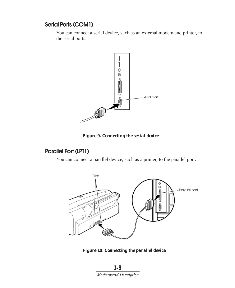#### **Serial Ports (COM1)**

You can connect a serial device, such as an external modem and printer, to the serial ports.



*Figure 9. Connecting the serial device*

#### **Parallel Port (LPT1)**

You can connect a parallel device, such as a printer, to the parallel port.



*Figure 10. Connecting the parallel device*

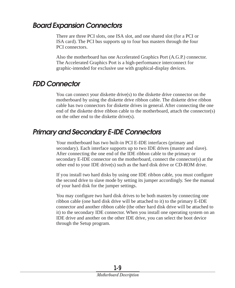## <span id="page-14-0"></span>**Board Expansion Connectors**

There are three PCI slots, one ISA slot, and one shared slot (for a PCI or ISA card). The PCI bus supports up to four bus masters through the four PCI connectors.

Also the motherboard has one Accelerated Graphics Port (A.G.P.) connector. The Accelerated Graphics Port is a high-performance interconnect for graphic-intended for exclusive use with graphical-display devices.

# **FDD Connector**

You can connect your diskette drive(s) to the diskette drive connector on the motherboard by using the diskette drive ribbon cable. The diskette drive ribbon cable has two connectors for diskette drives in general. After connecting the one end of the diskette drive ribbon cable to the motherboard, attach the connector(s) on the other end to the diskette drive(s).

## **Primary and Secondary E-IDE Connectors**

Your motherboard has two built-in PCI E-IDE interfaces (primary and secondary). Each interface supports up to two IDE drives (master and slave). After connecting the one end of the IDE ribbon cable to the primary or secondary E-IDE connector on the motherboard, connect the connector(s) at the other end to your IDE drive(s) such as the hard disk drive or CD-ROM drive.

If you install two hard disks by using one IDE ribbon cable, you must configure the second drive to slave mode by setting its jumper accordingly. See the manual of your hard disk for the jumper settings.

You may configure two hard disk drives to be both masters by connecting one ribbon cable (one hard disk drive will be attached to it) to the primary E-IDE connector and another ribbon cable (the other hard disk drive will be attached to it) to the secondary IDE connector. When you install one operating system on an IDE drive and another on the other IDE drive, you can select the boot device through the Setup program.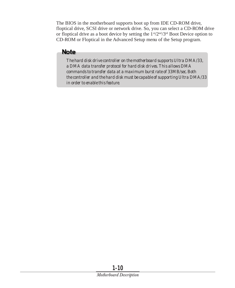The BIOS in the motherboard supports boot up from IDE CD-ROM drive, floptical drive, SCSI drive or network drive. So, you can select a CD-ROM drive or floptical drive as a boot device by setting the 1st/2nd/3rd Boot Device option to CD-ROM or Floptical in the Advanced Setup menu of the Setup program.

#### **Note**

*The hard disk drive controller on the motherboard supports Ultra DMA/33, a DMA data transfer protocol for hard disk drives. This allows DMA commands to transfer data at a maximum burst rate of 33MB/sec. Both the controller and the hard disk must be capable of supporting Ultra DMA/33 in order to enable this feature.*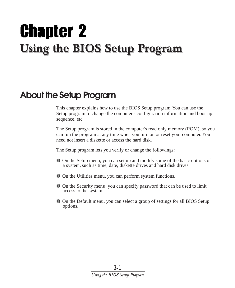# <span id="page-16-0"></span>Chapter 2 **Using the BIOS Setup Program Using the BIOS Setup Program**

# **About the Setup Program**

This chapter explains how to use the BIOS Setup program. You can use the Setup program to change the computer's configuration information and boot-up sequence, etc.

The Setup program is stored in the computer's read only memory (ROM), so you can run the program at any time when you turn on or reset your computer. You need not insert a diskette or access the hard disk.

The Setup program lets you verify or change the followings:

- On the Setup menu, you can set up and modify some of the basic options of a system, such as time, date, diskette drives and hard disk drives.
- On the Utilities menu, you can perform system functions.
- On the Security menu, you can specify password that can be used to limit access to the system.
- On the Default menu, you can select a group of settings for all BIOS Setup options.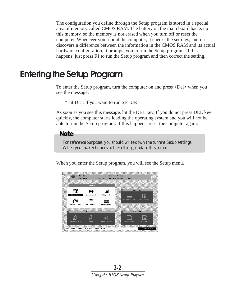<span id="page-17-0"></span>The configuration you define through the Setup program is stored in a special area of memory called CMOS RAM. The battery on the main board backs up this memory, so the memory is not erased when you turn off or reset the computer. Whenever you reboot the computer, it checks the settings, and if it discovers a difference between the information in the CMOS RAM and its actual hardware configuration, it prompts you to run the Setup program. If this happens, just press F1 to run the Setup program and then correct the setting.

# **Entering the Setup Program**

To enter the Setup program, turn the computer on and press <Del> when you see the message:

"Hit DEL if you want to run SETUP."

As soon as you see this message, hit the DEL key. If you do not press DEL key quickly, the computer starts loading the operating system and you will not be able to run the Setup program. If this happens, reset the computer again.



*For reference purposes, you should write down the current Setup settings. When you make changes to the settings, update this record.*

When you enter the Setup program, you will see the Setup menu.

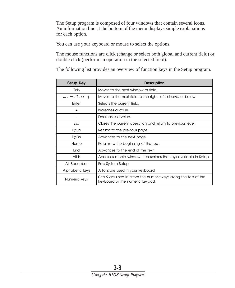The Setup program is composed of four windows that contain several icons. An information line at the bottom of the menu displays simple explanations for each option.

You can use your keyboard or mouse to select the options.

The mouse functions are click (change or select both global and current field) or double click (perform an operation in the selected field).

The following list provides an overview of function keys in the Setup program.

| Setup Key                                                   | <b>Description</b>                                                                                 |  |  |
|-------------------------------------------------------------|----------------------------------------------------------------------------------------------------|--|--|
| Tab                                                         | Moves to the next window or field.                                                                 |  |  |
| $\leftarrow$ , $\rightarrow$ , $\uparrow$ , or $\downarrow$ | Moves to the next field to the right, left, above, or below.                                       |  |  |
| Enter                                                       | Selects the current field.                                                                         |  |  |
| $^{+}$                                                      | Increases a value.                                                                                 |  |  |
|                                                             | Decreases a value.                                                                                 |  |  |
| Esc                                                         | Closes the current operation and return to previous level.                                         |  |  |
| PgUp                                                        | Returns to the previous page.                                                                      |  |  |
| PgDn                                                        | Advances to the next page.                                                                         |  |  |
| Home                                                        | Returns to the beginning of the text.                                                              |  |  |
| End                                                         | Advances to the end of the text.                                                                   |  |  |
| Alt-H                                                       | Accesses a help window. It describes the keys available in Setup                                   |  |  |
| Alt-Spacebar                                                | Exits System Setup                                                                                 |  |  |
| Alphabetic keys                                             | A to Z are used in your keyboard                                                                   |  |  |
| Numeric keys                                                | 0 to 9 are used in either the numeric keys along the top of the<br>keyboard or the numeric keypad. |  |  |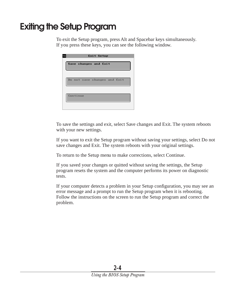# <span id="page-19-0"></span>**Exiting the Setup Program**

To exit the Setup program, press Alt and Spacebar keys simultaneously. If you press these keys, you can see the following window.

| Exit Setup                   |  |
|------------------------------|--|
| Save changes and Exit        |  |
| Do not save changes and Exit |  |
| Continue                     |  |
|                              |  |

To save the settings and exit, select Save changes and Exit. The system reboots with your new settings.

If you want to exit the Setup program without saving your settings, select Do not save changes and Exit. The system reboots with your original settings.

To return to the Setup menu to make corrections, select Continue.

If you saved your changes or quitted without saving the settings, the Setup program resets the system and the computer performs its power on diagnostic tests.

If your computer detects a problem in your Setup configuration, you may see an error message and a prompt to run the Setup program when it is rebooting. Follow the instructions on the screen to run the Setup program and correct the problem.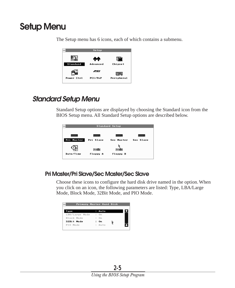# <span id="page-20-0"></span>**Setup Menu**

The Setup menu has 6 icons, each of which contains a submenu.



# **Standard Setup Menu**

Standard Setup options are displayed by choosing the Standard icon from the BIOS Setup menu. All Standard Setup options are described below.

|            |               | <b>Standard Setup</b> |           |
|------------|---------------|-----------------------|-----------|
|            |               |                       |           |
| ------     | <b>======</b> | -----                 | ------    |
| Pri Master | Pri Slave     | Sec Master            | Sec Slave |
|            | 一個            |                       |           |
| Date/Time  | Floppy A      | Floppy B              |           |

#### **Pri Master/Pri Slave/Sec Master/Sec Slave**

Choose these icons to configure the hard disk drive named in the option. When you click on an icon, the following parameters are listed: Type, LBA/Large Mode, Block Mode, 32Bit Mode, and PIO Mode.

| Primary Master Hard Disk |   |        |  |
|--------------------------|---|--------|--|
| Tupe                     |   | : Auto |  |
| LBA/Large Mode           |   | : On   |  |
| Block Mode               | ÷ | On     |  |
| 32Bit Mode               | ٠ | On     |  |
| PIO Mode                 |   | : Auto |  |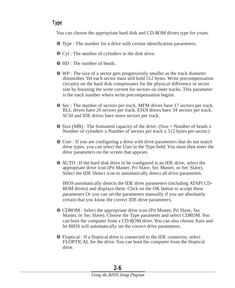#### *Type*

You can choose the appropriate hard disk and CD-ROM drives type for yours.

- Type : The number for a drive with certain identification parameters.
- Cyl : The number of cylinders in the disk drive.
- HD : The number of heads.
- WP : The size of a sector gets progressively smaller as the track diameter diminishes. Yet each sector must still hold 512 bytes. Write precompensation circuitry on the hard disk compensates for the physical difference in sector size by boosting the write current for sectors on inner tracks. This parameter is the track number where write precompensation begins.
- **O** Sec : The number of sectors per track. MFM drives have 17 sectors per track. RLL drives have 26 sectors per track. ESDI drives have 34 sectors per track. SCSI and IDE drives have more sectors per track.
- $\overline{O}$  Size (MB) : The formatted capacity of the drive. (Size = Number of heads x Number of cylinders x Number of sectors per track x 512 bytes per sector.)
- User : If you are configuring a drive with drive parameters that do not match drive types, you can select the User in the Type field. You must then enter the drive parameters on the screen that appears.
- AUTO : If the hard disk drive to be configured is an IDE drive, select the appropriate drive icon (Pri Master, Pri Slave, Sec Master, or Sec Slave). Select the IDE Detect icon to automatically detect all drive parameters.

BIOS automatically detects the IDE drive parameters (including ATAPI CD-ROM drives) and displays them. Click on the OK button to accept these parameters Or you can set the parameters manually if you are absolutely certain that you know the correct IDE drive parameters.

- CDROM : Select the appropriate drive icon (Pri Master, Pri Slave, Sec Master, or Sec Slave). Choose the Type parameter and select CDROM. You can boot the computer from a CD-ROM drive. You can also choose Auto and let BIOS will automatically set the correct drive parameters.
- Floptical : If a floptical drive is connected to the IDE connector, select FLOPTICAL for the drive. You can boot the computer from the floptical drive.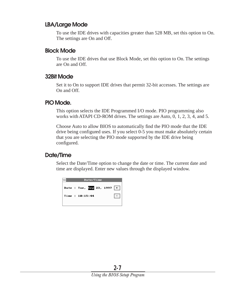#### **LBA/Large Mode**

To use the IDE drives with capacities greater than 528 MB, set this option to On. The settings are On and Off.

#### **Block Mode**

To use the IDE drives that use Block Mode, set this option to On. The settings are On and Off.

#### **32Bit Mode**

Set it to On to support IDE drives that permit 32-bit accesses. The settings are On and Off.

#### **PIO Mode.**

This option selects the IDE Programmed I/O mode. PIO programming also works with ATAPI CD-ROM drives. The settings are Auto, 0, 1, 2, 3, 4, and 5.

Choose Auto to allow BIOS to automatically find the PIO mode that the IDE drive being configured uses. If you select 0-5 you must make absolutely certain that you are selecting the PIO mode supported by the IDE drive being configured.

#### **Date/Time**

Select the Date/Time option to change the date or time. The current date and time are displayed. Enter new values through the displayed window.

|  |                | Date/Time |                              |  |
|--|----------------|-----------|------------------------------|--|
|  |                |           | Date : Tue, Sep 23, 1997 $+$ |  |
|  | Time: 10:15:44 |           |                              |  |
|  |                |           |                              |  |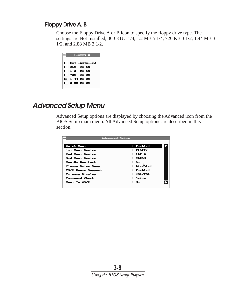#### <span id="page-23-0"></span>**Floppy Drive A, B**

Choose the Floppy Drive A or B icon to specify the floppy drive type. The settings are Not Installed, 360 KB 5 1/4, 1.2 MB 5 1/4, 720 KB 3 1/2, 1.44 MB 3 1/2, and 2.88 MB 3 1/2.

| Floppy A             |  |
|----------------------|--|
| $\Box$ Not Installed |  |
| □ 360 КВ 5¼          |  |
| $\Box$ 1.2 MB 5%     |  |
| $\Box$ 720 KB 312    |  |
| <b>■ 1.44 MB 3½</b>  |  |
| $\Box$ 2.88 MB 3½    |  |
|                      |  |

#### **Advanced Setup Menu**

Advanced Setup options are displayed by choosing the Advanced icon from the BIOS Setup main menu. All Advanced Setup options are described in this section.

| <b>Advanced Setup</b>     |               |  |
|---------------------------|---------------|--|
|                           |               |  |
| Quick Boot                | Enabled<br>н. |  |
| 1st Boot Device           | <b>FLOPPY</b> |  |
| 2nd Boot Device           | IDE-0         |  |
| 3rd Boot Device           | CDROM         |  |
| BootUp Num-Lock           | : On          |  |
| Floppy Drive Swap         | : Disabled    |  |
| <b>PS/2 Mouse Support</b> | : Enabled     |  |
| Primary Display           | : UGA⁄EGA     |  |
| Password Check            | : Setup       |  |
| Boot To OS/2              | : No          |  |
|                           |               |  |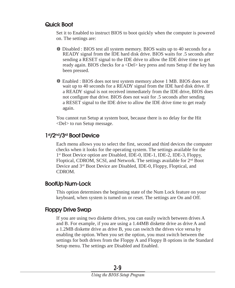#### **Quick Boot**

Set it to Enabled to instruct BIOS to boot quickly when the computer is powered on. The settings are:

- Disabled : BIOS test all system memory. BIOS waits up to 40 seconds for a READY signal from the IDE hard disk drive. BIOS waits for .5 seconds after sending a RESET signal to the IDE drive to allow the IDE drive time to get ready again. BIOS checks for a <Del> key press and runs Setup if the key has been pressed.
- Enabled : BIOS does not test system memory above 1 MB. BIOS does not wait up to 40 seconds for a READY signal from the IDE hard disk drive. If a READY signal is not received immediately from the IDE drive, BIOS does not configure that drive. BIOS does not wait for .5 seconds after sending a RESET signal to the IDE drive to allow the IDE drive time to get ready again.

You cannot run Setup at system boot, because there is no delay for the Hit <Del> to run Setup message.

#### **1st/2nd/3rd Boot Device**

Each menu allows you to select the first, second and third devices the computer checks when it looks for the operating system. The settings available for the 1st Boot Device option are Disabled, IDE-0, IDE-1, IDE-2, IDE-3, Floppy, Floptical, CDROM, SCSI, and Network. The settings available for  $2<sup>nd</sup>$  Boot Device and 3rd Boot Device are Disabled, IDE-0, Floppy, Floptical, and CDROM.

#### **BootUp Num-Lock**

This option determines the beginning state of the Num Lock feature on your keyboard, when system is turned on or reset. The settings are On and Off.

#### **Floppy Drive Swap**

If you are using two diskette drives, you can easily switch between drives A and B. For example, if you are using a 1.44MB diskette drive as drive A and a 1.2MB diskette drive as drive B, you can switch the drives vice versa by enabling the option. When you set the option, you must switch between the settings for both drives from the Floppy A and Floppy B options in the Standard Setup menu. The settings are Disabled and Enabled.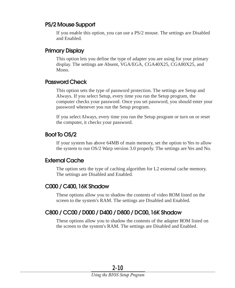#### **PS/2 Mouse Support**

If you enable this option, you can use a PS/2 mouse. The settings are Disabled and Enabled.

#### **Primary Display**

This option lets you define the type of adapter you are using for your primary display. The settings are Absent, VGA/EGA, CGA40X25, CGA80X25, and Mono.

#### **Password Check**

This option sets the type of password protection. The settings are Setup and Always. If you select Setup, every time you run the Setup program, the computer checks your password. Once you set password, you should enter your password whenever you run the Setup program.

If you select Always, every time you run the Setup program or turn on or reset the computer, it checks your password.

#### **Boot To OS/2**

If your system has above 64MB of main memory, set the option to Yes to allow the system to run OS/2 Warp version 3.0 properly. The settings are Yes and No.

#### **External Cache**

The option sets the type of caching algorithm for L2 external cache memory. The settings are Disabled and Enabled.

#### **C000 / C400, 16K Shadow**

These options allow you to shadow the contents of video ROM listed on the screen to the system's RAM. The settings are Disabled and Enabled.

#### **C800 / CC00 / D000 / D400 / D800 / DC00, 16K Shadow**

These options allow you to shadow the contents of the adapter ROM listed on the screen to the system's RAM. The settings are Disabled and Enabled.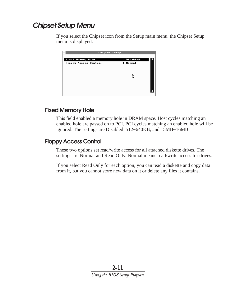# <span id="page-26-0"></span>**Chipset Setup Menu**

If you select the Chipset icon from the Setup main menu, the Chipset Setup menu is displayed.

|                          | Chipset Setup |    |               |  |
|--------------------------|---------------|----|---------------|--|
| <b>Fixed Memory Hole</b> |               |    | : Disabled    |  |
| Floppy Access Control    |               | и. | <b>Normal</b> |  |
|                          |               |    |               |  |
|                          |               |    | Þ             |  |
|                          |               |    |               |  |
|                          |               |    |               |  |
|                          |               |    |               |  |
|                          |               |    |               |  |

#### **Fixed Memory Hole**

This field enabled a memory hole in DRAM space. Host cycles matching an enabled hole are passed on to PCI. PCI cycles matching an enabled hole will be ignored. The settings are Disabled, 512~640KB, and 15MB~16MB.

#### **Floppy Access Control**

These two options set read/write access for all attached diskette drives. The settings are Normal and Read Only. Normal means read/write access for drives.

If you select Read Only for each option, you can read a diskette and copy data from it, but you cannot store new data on it or delete any files it contains.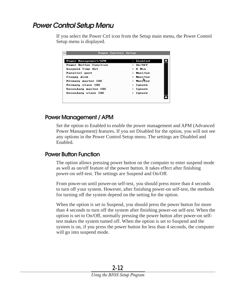# <span id="page-27-0"></span>**Power Control Setup Menu**

If you select the Power Ctrl icon from the Setup main menu, the Power Control Setup menu is displayed.

|                         | Power Control Setup |           |  |
|-------------------------|---------------------|-----------|--|
|                         |                     |           |  |
| Power Management/APM    |                     | : Enabled |  |
| Power Button Function   |                     | : On⁄Off  |  |
| <b>Suspend Time Out</b> |                     | : 8 Min   |  |
| Parallel port           |                     | : Monitor |  |
| Floppy disk             |                     | : Monitor |  |
| Primary master IDE      |                     | : Monitor |  |
| Primary slave IDE       |                     | : Ignore  |  |
| Secondary master IDE    |                     | : Ignore  |  |
| Secondary slave IDE     |                     | : Ignore  |  |
|                         |                     |           |  |
|                         |                     |           |  |

#### **Power Management / APM**

Set the option to Enabled to enable the power management and APM (Advanced Power Management) features. If you set Disabled for the option, you will not see any options in the Power Control Setup menu. The settings are Disabled and Enabled.

#### **Power Button Function**

The option allows pressing power button on the computer to enter suspend mode as well as on/off feature of the power button. It takes effect after finishing power-on self-test. The settings are Suspend and On/Off.

From power-on until power-on self-test, you should press more than 4 seconds to turn off your system. However, after finishing power-on self-test, the methods for turning off the system depend on the setting for the option.

When the option is set to Suspend, you should press the power button for more than 4 seconds to turn off the system after finishing power-on self-test. When the option is set to On/Off, normally pressing the power button after power-on selftest makes the system turned off. When the option is set to Suspend and the system is on, if you press the power button for less than 4 seconds, the computer will go into suspend mode.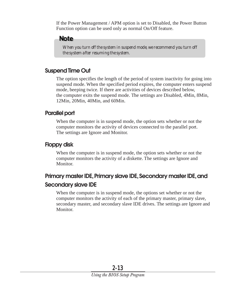If the Power Management / APM option is set to Disabled, the Power Button Function option can be used only as normal On/Off feature.

#### Note.

*When you turn off the system in suspend mode, we recommend you turn off the system after resuming the system.*

#### **Suspend Time Out**

The option specifies the length of the period of system inactivity for going into suspend mode. When the specified period expires, the computer enters suspend mode, beeping twice. If there are activities of devices described below, the computer exits the suspend mode. The settings are Disabled, 4Min, 8Min, 12Min, 20Min, 40Min, and 60Min.

#### **Parallel port**

When the computer is in suspend mode, the option sets whether or not the computer monitors the activity of devices connected to the parallel port. The settings are Ignore and Monitor.

#### **Floppy disk**

When the computer is in suspend mode, the option sets whether or not the computer monitors the activity of a diskette. The settings are Ignore and Monitor.

#### **Primary master IDE, Primary slave IDE, Secondary master IDE, and Secondary slave IDE**

When the computer is in suspend mode, the options set whether or not the computer monitors the activity of each of the primary master, primary slave, secondary master, and secondary slave IDE drives. The settings are Ignore and Monitor.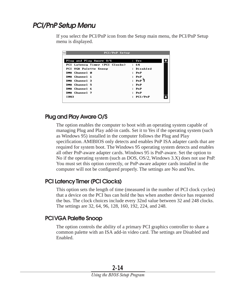# <span id="page-29-0"></span>**PCI/PnP Setup Menu**

If you select the PCI/PnP icon from the Setup main menu, the PCI/PnP Setup menu is displayed.

| PCI/PnP Setup                  |                    |
|--------------------------------|--------------------|
|                                |                    |
| Plug and Play Aware O/S        | : Yes              |
| PCI Latency Timer (PCI Clocks) | : 64               |
| PCI UGA Palette Snoop          | Disabled           |
| <b>DMA Channel 0</b>           | : P <sub>n</sub> P |
| <b>DMA Channel 1</b>           | : PnP              |
| <b>DMA Channel 3</b>           | : PnP ጛ            |
| <b>DMA Channel 5</b>           | : P <sub>n</sub> P |
| <b>DMA Channel 6</b>           | : P <sub>n</sub> P |
| DMA Channel 7                  | : PnP              |
| IRQ3                           | : PCI/PnP          |
|                                |                    |

#### **Plug and Play Aware O/S**

The option enables the computer to boot with an operating system capable of managing Plug and Play add-in cards. Set it to Yes if the operating system (such as Windows 95) installed in the computer follows the Plug and Play specification. AMIBIOS only detects and enables PnP ISA adapter cards that are required for system boot. The Windows 95 operating system detects and enables all other PnP-aware adapter cards. Windows 95 is PnP-aware. Set the option to No if the operating system (such as DOS, OS/2, Windows 3.X) does not use PnP. You must set this option correctly, or PnP-aware adapter cards installed in the computer will not be configured properly. The settings are No and Yes.

#### **PCI Latency Timer (PCI Clocks)**

This option sets the length of time (measured in the number of PCI clock cycles) that a device on the PCI bus can hold the bus when another device has requested the bus. The clock choices include every 32nd value between 32 and 248 clocks. The settings are 32, 64, 96, 128, 160, 192, 224, and 248.

#### **PCI VGA Palette Snoop**

The option controls the ability of a primary PCI graphics controller to share a common palette with an ISA add-in video card. The settings are Disabled and Enabled.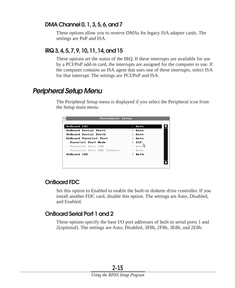#### <span id="page-30-0"></span>**DMA Channel 0, 1, 3, 5, 6, and 7**

These options allow you to reserve DMAs for legacy ISA adapter cards. The settings are PnP and ISA.

#### **IRQ 3, 4, 5, 7, 9, 10, 11, 14, and 15**

These options set the status of the IRQ. If these interrupts are available for use by a PCI/PnP add-in card, the interrupts are assigned for the computer to use. If the computer contains an ISA agent that uses one of these interrupts, select ISA for that interrupt. The settings are PCI/PnP and ISA.

# **Peripheral Setup Menu**

The Peripheral Setup menu is displayed if you select the Peripheral icon from the Setup main menu.

|                           | Peripheral Setup |    |             |  |
|---------------------------|------------------|----|-------------|--|
| OnBoard FDC               |                  | н. | Auto        |  |
| OnBoard Serial Port1      |                  |    | : Auto      |  |
| OnBoard Serial Port2      |                  |    | : Auto      |  |
| OnBoard Parallel Port     |                  |    | : Auto      |  |
| Parallel Port Mode        |                  |    | : ECP       |  |
| Parallel Port IRQ         |                  |    | : Autol     |  |
| Parallel Port DMA Channel |                  |    | : Auto      |  |
| OnBoard IDE               |                  |    | <b>Both</b> |  |
|                           |                  |    |             |  |
|                           |                  |    |             |  |
|                           |                  |    |             |  |

#### **OnBoard FDC**

Set this option to Enabled to enable the built-in diskette drive controller. If you install another FDC card, disable this option. The settings are Auto, Disabled, and Enabled.

#### **OnBoard Serial Port 1 and 2**

These options specify the base I/O port addresses of built-in serial ports 1 and 2(optional). The settings are Auto, Disabled, 3F8h, 2F8h, 3E8h, and 2E8h.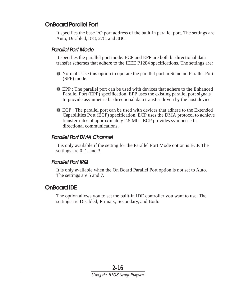#### **OnBoard Parallel Port**

It specifies the base I/O port address of the built-in parallel port. The settings are Auto, Disabled, 378, 278, and 3BC.

#### **Parallel Port Mode**

It specifies the parallel port mode. ECP and EPP are both bi-directional data transfer schemes that adhere to the IEEE P1284 specifications. The settings are:

- Normal : Use this option to operate the parallel port in Standard Parallel Port (SPP) mode.
- EPP : The parallel port can be used with devices that adhere to the Enhanced Parallel Port (EPP) specification. EPP uses the existing parallel port signals to provide asymmetric bi-directional data transfer driven by the host device.
- ECP : The parallel port can be used with devices that adhere to the Extended Capabilities Port (ECP) specification. ECP uses the DMA protocol to achieve transfer rates of approximately 2.5 Mbs. ECP provides symmetric bidirectional communications.

#### **Parallel Port DMA Channel**

It is only available if the setting for the Parallel Port Mode option is ECP. The settings are 0, 1, and 3.

#### **Parallel Port IRQ**

It is only available when the On Board Parallel Port option is not set to Auto. The settings are 5 and 7.

#### **OnBoard IDE**

The option allows you to set the built-in IDE controller you want to use. The settings are Disabled, Primary, Secondary, and Both.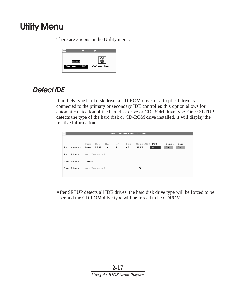# <span id="page-32-0"></span>**Utility Menu**

There are 2 icons in the Utility menu.



# **Detect IDE**

If an IDE-type hard disk drive, a CD-ROM drive, or a floptical drive is connected to the primary or secondary IDE controller, this option allows for automatic detection of the hard disk drive or CD-ROM drive type. Once SETUP detects the type of the hard disk or CD-ROM drive installed, it will display the relative information.

| $\equiv$ |                          |             |    | Auto Detection Status |     |                     |                |           |     |  |
|----------|--------------------------|-------------|----|-----------------------|-----|---------------------|----------------|-----------|-----|--|
|          |                          |             |    |                       |     |                     |                |           |     |  |
|          |                          | Tupe Cul Hd |    | <b>MP</b>             | Sec | Size(MB) <b>PIO</b> |                | Block LBA |     |  |
|          | Pri Master: User 6232    |             | 16 | $\bullet$             | 63  | 3217                | $\overline{4}$ | <b>On</b> | On: |  |
|          | Pri Slave : Not Detected |             |    |                       |     |                     |                |           |     |  |
|          | Sec Master: CDROM        |             |    |                       |     |                     |                |           |     |  |
|          | Sec Slave : Not Detected |             |    |                       |     | R                   |                |           |     |  |
|          |                          |             |    |                       |     |                     |                |           |     |  |

After SETUP detects all IDE drives, the hard disk drive type will be forced to be User and the CD-ROM drive type will be forced to be CDROM.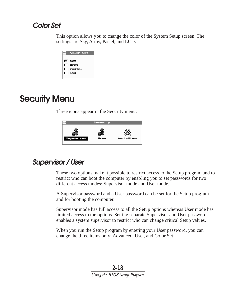## <span id="page-33-0"></span>**Color Set**

This option allows you to change the color of the System Setup screen. The settings are Sky, Army, Pastel, and LCD.

| Color Set                                  |
|--------------------------------------------|
| ום sky<br>□ Army<br>$\Box$ Pastel<br>ת LCD |

# **Security Menu**

Three icons appear in the Security menu.

|            | Security |            |
|------------|----------|------------|
| Supervisor | User     | Anti-Virus |

# **Supervisor / User**

These two options make it possible to restrict access to the Setup program and to restrict who can boot the computer by enabling you to set passwords for two different access modes: Supervisor mode and User mode.

A Supervisor password and a User password can be set for the Setup program and for booting the computer.

Supervisor mode has full access to all the Setup options whereas User mode has limited access to the options. Setting separate Supervisor and User passwords enables a system supervisor to restrict who can change critical Setup values.

When you run the Setup program by entering your User password, you can change the three items only: Advanced, User, and Color Set.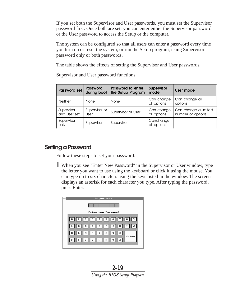If you set both the Supervisor and User passwords, you must set the Supervisor password first. Once both are set, you can enter either the Supervisor password or the User password to access the Setup or the computer.

The system can be configured so that all users can enter a password every time you turn on or reset the system, or run the Setup program, using Supervisor password only or both passwords.

The table shows the effects of setting the Supervisor and User passwords.

**Password set Password during boot Password to enter the Setup Program Supervisor mode User mode** Neither None None Can change all options Can change all options Supervisor and User set Supervisor or Supervisor or Supervisor or User Can change all options Can change a limited number of options Supervisor Supervisor Supervisor Supervisor Canchange<br>only all options Canchange<br>all options

Supervisor and User password functions

#### **Setting a Password**

Follow these steps to set your password:

1 When you see "Enter New Password" in the Supervisor or User window, type the letter you want to use using the keyboard or click it using the mouse. You can type up to six characters using the keys listed in the window. The screen displays an asterisk for each character you type. After typing the password, press Enter.



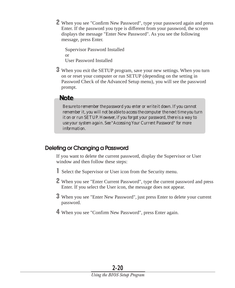2 When you see "Confirm New Password", type your password again and press Enter. If the password you type is different from your password, the screen displays the message "Enter New Password". As you see the following message, press Enter.

Supervisor Password Installed or User Password Installed

3 When you exit the SETUP program, save your new settings. When you turn on or reset your computer or run SETUP (depending on the setting in Password Check of the Advanced Setup menu), you will see the password prompt.

#### **Note**

*Be sure to remember the password you enter or write it down. If you cannot remember it, you will not be able to access the computer the next time you turn it on or run SETUP. However, if you forgot your password, there is a way to use your system again. See "Accessing Your Current Password" for more information.*

#### **Deleting or Changing a Password**

If you want to delete the current password, display the Supervisor or User window and then follow these steps:

- 1 Select the Supervisor or User icon from the Security menu.
- 2 When you see "Enter Current Password", type the current password and press Enter. If you select the User icon, the message does not appear.
- 3 When you see "Enter New Password", just press Enter to delete your current password.
- 4 When you see "Confirm New Password", press Enter again.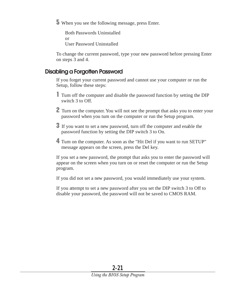5 When you see the following message, press Enter.

Both Passwords Uninstalled or User Password Uninstalled

To change the current password, type your new password before pressing Enter on steps 3 and 4.

#### **Disabling a Forgotten Password**

If you forget your current password and cannot use your computer or run the Setup, follow these steps:

- 1 Turn off the computer and disable the password function by setting the DIP switch 3 to Off.
- 2 Turn on the computer. You will not see the prompt that asks you to enter your password when you turn on the computer or run the Setup program.
- 3 If you want to set a new password, turn off the computer and enable the password function by setting the DIP switch 3 to On.
- 4 Turn on the computer. As soon as the "Hit Del if you want to run SETUP" message appears on the screen, press the Del key.

If you set a new password, the prompt that asks you to enter the password will appear on the screen when you turn on or reset the computer or run the Setup program.

If you did not set a new password, you would immediately use your system.

If you attempt to set a new password after you set the DIP switch 3 to Off to disable your password, the password will not be saved to CMOS RAM.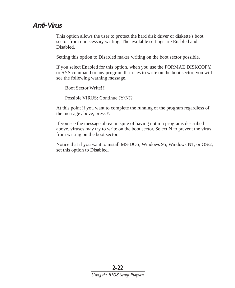## <span id="page-37-0"></span>**Anti-Virus**

This option allows the user to protect the hard disk driver or diskette's boot sector from unnecessary writing. The available settings are Enabled and Disabled.

Setting this option to Disabled makes writing on the boot sector possible.

If you select Enabled for this option, when you use the FORMAT, DISKCOPY, or SYS command or any program that tries to write on the boot sector, you will see the following warning message.

Boot Sector Write!!!

Possible VIRUS: Continue (Y/N)? \_

At this point if you want to complete the running of the program regardless of the message above, press Y.

If you see the message above in spite of having not run programs described above, viruses may try to write on the boot sector. Select N to prevent the virus from writing on the boot sector.

Notice that if you want to install MS-DOS, Windows 95, Windows NT, or OS/2, set this option to Disabled.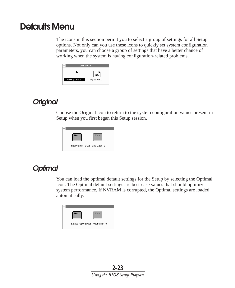# <span id="page-38-0"></span>**Defaults Menu**

The icons in this section permit you to select a group of settings for all Setup options. Not only can you use these icons to quickly set system configuration parameters, you can choose a group of settings that have a better chance of working when the system is having configuration-related problems.



#### **Original**

Choose the Original icon to return to the system configuration values present in Setup when you first began this Setup session.



#### **Optimal**

You can load the optimal default settings for the Setup by selecting the Optimal icon. The Optimal default settings are best-case values that should optimize system performance. If NVRAM is corrupted, the Optimal settings are loaded automatically.

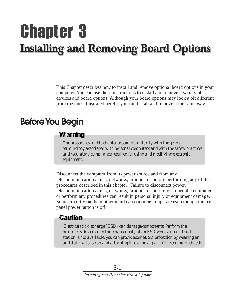# <span id="page-39-0"></span>**Chapter 3 Installing and Removing Board Options Installing and Removing Board Options**

This Chapter describes how to install and remove optional board options in your computer. You can use these instructions to install and remove a variety of devices and board options. Although your board options may look a bit different from the ones illustrated herein, you can install and remove it the same way.

# **Before You Begin**

#### **Warning**

*The procedures in this chapter assume familiarity with the general terminology associated with personal computers and with the safety practices and regulatory compliance required for using and modifying electronic equipment.*

Disconnect the computer from its power source and from any telecommunications links, networks, or modems before performing any of the procedures described in this chapter. Failure to disconnect power, telecommunications links, networks, or modems before you open the computer or perform any procedures can result in personal injury or equipment damage. Some circuitry on the motherboard can continue to operate even though the front panel power button is off.

#### **Caution**

 *Electrostatic discharge (ESD) can damage components. Perform the procedures described in this chapter only at an ESD workstation. If such a station is not available, you can provide some ESD protection by wearing an antistatic wrist strap and attaching it to a metal part of the computer chassis.*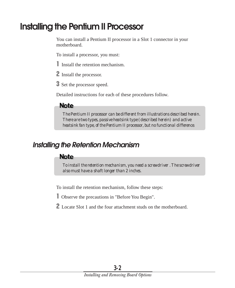# <span id="page-40-0"></span>**Installing the Pentium II Processor**

You can install a Pentium II processor in a Slot 1 connector in your motherboard.

To install a processor, you must:

- 1 Install the retention mechanism.
- 2 Install the processor.
- **3** Set the processor speed.

Detailed instructions for each of these procedures follow.

#### **Note**

*The Pentium II processor can be different from illustrations described herein. There are two types, passive heatsink type (described herein) and active heatsink fan type, of the Pentium II processor, but no functional difference.*

## **Installing the Retention Mechanism**

#### **Note**

*To install the retention mechanism, you need a screwdriver . The screwdriver also must have a shaft longer than 2 inches.*

To install the retention mechanism, follow these steps:

- 1 Observe the precautions in "Before You Begin".
- 2 Locate Slot 1 and the four attachment studs on the motherboard.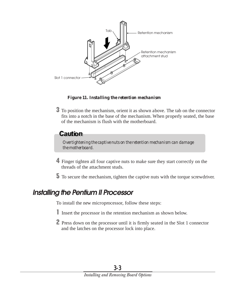<span id="page-41-0"></span>

*Figure 11. Installing the retention mechanism*

3 To position the mechanism, orient it as shown above. The tab on the connector fits into a notch in the base of the mechanism. When properly seated, the base of the mechanism is flush with the motherboard.

#### **Caution**

*Overtightening the captive nuts on the retention mechanism can damage the motherboard.*

4 Finger tighten all four captive nuts to make sure they start correctly on the threads of the attachment studs.

5 To secure the mechanism, tighten the captive nuts with the torque screwdriver.

#### **Installing the Pentium II Processor**

To install the new microprocessor, follow these steps:

- 1 Insert the processor in the retention mechanism as shown below.
- 2 Press down on the processor until it is firmly seated in the Slot 1 connector and the latches on the processor lock into place.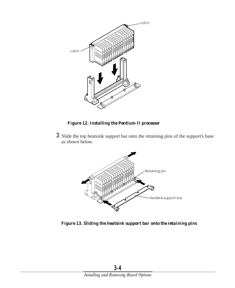

*Figure 12. Installing the Pentium II processor*

3 Slide the top heatsink support bar onto the retaining pins of the support's base as shown below.



*Figure 13. Sliding the heatsink support bar onto the retaining pins*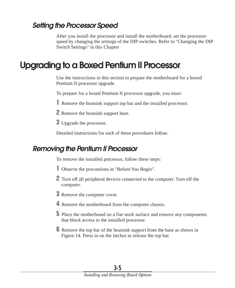## <span id="page-43-0"></span>**Setting the Processor Speed**

After you install the processor and install the motherboard, set the processor speed by changing the settings of the DIP switches. Refer to "Changing the DIP Switch Settings" in this Chapter

# **Upgrading to a Boxed Pentium II Processor**

Use the instructions in this section to prepare the motherboard for a boxed Pentium II processor upgrade.

To prepare for a boxed Pentium II processor upgrade, you must:

1 Remove the heatsink support top bar and the installed processor.

2 Remove the heatsink support base.

3 Upgrade the processor.

Detailed instructions for each of these procedures follow.

## **Removing the Pentium II Processor**

To remove the installed processor, follow these steps:

- 1 Observe the precautions in "Before You Begin".
- 2 Turn off all peripheral devices connected to the computer. Turn off the computer.
- **3** Remove the computer cover.
- 4 Remove the motherboard from the computer chassis.
- 5 Place the motherboard on a flat work surface and remove any components that block access to the installed processor.
- **6** Remove the top bar of the heatsink support from the base as shown in Figure 14. Press in on the latches to release the top bar.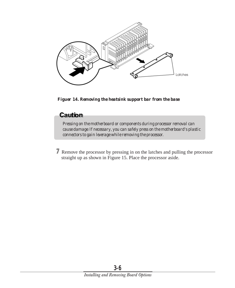

*Figuer 14. Removing the heatsink support bar from the base*

#### Caution

*Pressing on the motherboard or components during processor removal can cause damage. If necessary, you can safely press on the motherboard's plastic connectors to gain leverage while removing the processor.*

7 Remove the processor by pressing in on the latches and pulling the processor straight up as shown in Figure 15. Place the processor aside.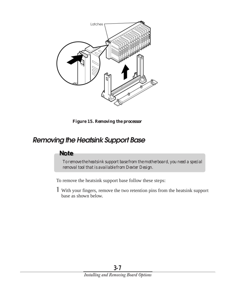<span id="page-45-0"></span>

*Figure 15. Removing the processor*

# **Removing the Heatsink Support Base**

#### **Note**

*To remove the heatsink support base from the motherboard, you need a special removal tool that is available from Dexter Design.*

To remove the heatsink support base follow these steps:

1 With your fingers, remove the two retention pins from the heatsink support base as shown below.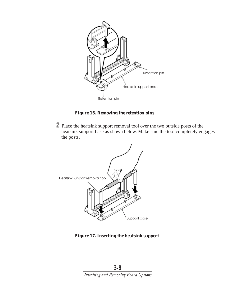

*Figure 16. Removing the retention pins*

2 Place the heatsink support removal tool over the two outside posts of the heatsink support base as shown below. Make sure the tool completely engages the posts.



*Figure 17. Inserting the heatsink support*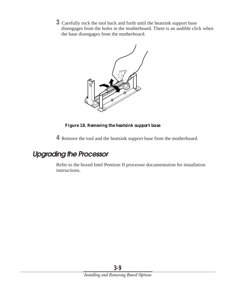<span id="page-47-0"></span>3 Carefully rock the tool back and forth until the heatsink support base disengages from the holes in the motherboard. There is an audible click when the base disengages from the motherboard.



#### *Figure 18. Removing the heatsink support base*

4 Remove the tool and the heatsink support base from the motherboard.

# **Upgrading the Processor**

Refer to the boxed Intel Pentium II processor documentation for installation instructions.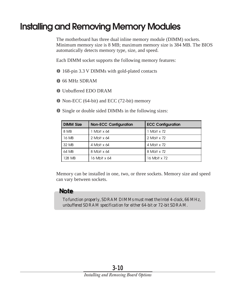# <span id="page-48-0"></span>**Installing and Removing Memory Modules**

The motherboard has three dual inline memory module (DIMM) sockets. Minimum memory size is 8 MB; maximum memory size is 384 MB. The BIOS automatically detects memory type, size, and speed.

Each DIMM socket supports the following memory features:

- 168-pin 3.3 V DIMMs with gold-plated contacts
- 66 MHz SDRAM
- Unbuffered EDO DRAM
- Non-ECC (64-bit) and ECC (72-bit) memory
- **O** Single or double sided DIMMs in the following sizes:

| <b>DIMM Size</b> | <b>Non-ECC Configuration</b> | <b>ECC Configuration</b> |
|------------------|------------------------------|--------------------------|
| 8 MB             | 1 Mbit x 64                  | 1 Mbit x 72              |
| 16 MB            | 2 Mbit $\times$ 64           | 2 Mbit x 72              |
| 32 MB            | 4 Mbit x 64                  | 4 Mbit x 72              |
| 64 MB            | 8 Mbit x 64                  | 8 Mbit x 72              |
| 128 MB           | 16 Mbit x 64                 | 16 Mbit x 72             |

Memory can be installed in one, two, or three sockets. Memory size and speed can vary between sockets.

#### **Note**

*To function properly, SDRAM DIMMs must meet the Intel 4-clock, 66 MHz, unbuffered SDRAM specification for either 64-bit or 72-bit SDRAM.*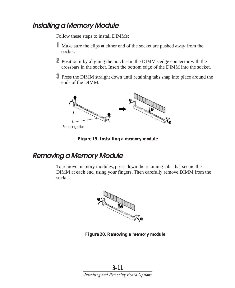# <span id="page-49-0"></span>**Installing a Memory Module**

Follow these steps to install DIMMs:

- I Make sure the clips at either end of the socket are pushed away from the socket.
- 2 Position it by aligning the notches in the DIMM's edge connector with the crossbars in the socket. Insert the bottom edge of the DIMM into the socket.
- 3 Press the DIMM straight down until retaining tabs snap into place around the ends of the DIMM.



*Figure 19. Installing a memory module*

# **Removing a Memory Module**

To remove memory modules, press down the retaining tabs that secure the DIMM at each end, using your fingers. Then carefully remove DIMM from the socket.



*Figure 20. Removing a memory module*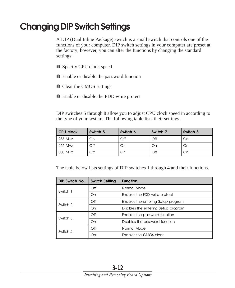# <span id="page-50-0"></span>**Changing DIP Switch Settings**

A DIP (Dual Inline Package) switch is a small switch that controls one of the functions of your computer. DIP switch settings in your computer are preset at the factory; however, you can alter the functions by changing the standard settings:

- **O** Specify CPU clock speed
- Enable or disable the password function
- **O** Clear the CMOS settings
- Enable or disable the FDD write protect

DIP switches 5 through 8 allow you to adjust CPU clock speed in according to the type of your system. The following table lists their settings.

| <b>CPU clock</b> | Switch 5 | Switch 6 | l Switch 7 | Switch 8 |
|------------------|----------|----------|------------|----------|
| 233 MHz          | On       | Off      | Off        | On       |
| 266 MHz          | Off      | On       | On         | On       |
| 300 MHz          | Off      | On       | Off        | On       |

The table below lists settings of DIP switches 1 through 4 and their functions.

| DIP Switch No. | <b>Switch Setting</b> | <b>Function</b>                     |  |  |
|----------------|-----------------------|-------------------------------------|--|--|
| Switch 1       | $\alpha$              | Normal Mode                         |  |  |
|                | On                    | Enables the FDD write protect       |  |  |
| Switch 2       | $\bigcirc$ ff         | Enables the entering Setup program  |  |  |
|                | On                    | Disables the entering Setup program |  |  |
| Switch 3       | $\bigcirc$ ff         | Enables the password function       |  |  |
|                | On                    | Disables the password function      |  |  |
| Switch 4       | Off                   | Normal Mode                         |  |  |
|                | On                    | Enables the CMOS clear              |  |  |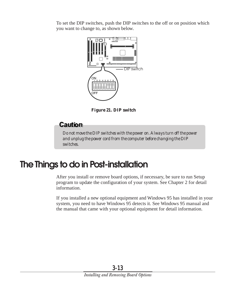<span id="page-51-0"></span>To set the DIP switches, push the DIP switches to the off or on position which you want to change to, as shown below.



*Figure 21. DIP switch*

#### **Caution**

*Do not move the DIP switches with the power on. Always turn off the power and unplug the power cord from the computer before changing the DIP switches.*

# **The Things to do in Post-installation**

After you install or remove board options, if necessary, be sure to run Setup program to update the configuration of your system. See Chapter 2 for detail information.

If you installed a new optional equipment and Windows 95 has installed in your system, you need to have Windows 95 detects it. See Windows 95 manual and the manual that came with your optional equipment for detail information.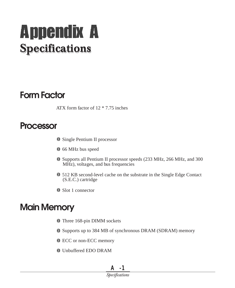# <span id="page-52-0"></span>Appendix A **Specifications Specifications**

# **Form Factor**

ATX form factor of 12 \* 7.75 inches

# **Processor**

- **O** Single Pentium II processor
- 66 MHz bus speed
- Supports all Pentium II processor speeds (233 MHz, 266 MHz, and 300  $M\hat{H}z$ , voltages, and bus frequencies
- 512 KB second-level cache on the substrate in the Single Edge Contact (S.E.C.) cartridge
- **O** Slot 1 connector

# **Main Memory**

- Three 168-pin DIMM sockets
- Supports up to 384 MB of synchronous DRAM (SDRAM) memory
- ECC or non-ECC memory
- Unbuffered EDO DRAM

#### *A-1*

#### *Specifications*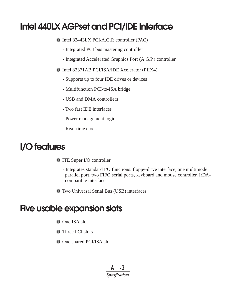# <span id="page-53-0"></span>**Intel 440LX AGPset and PCI/IDE Interface**

- Intel 82443LX PCI/A.G.P. controller (PAC)
	- Integrated PCI bus mastering controller
	- Integrated Accelerated Graphics Port (A.G.P.) controller
- Intel 82371AB PCI/ISA/IDE Xcelerator (PIIX4)
	- Supports up to four IDE drives or devices
	- Multifunction PCI-to-ISA bridge
	- USB and DMA controllers
	- Two fast IDE interfaces
	- Power management logic
	- Real-time clock

# **I/O features**

- **ITE Super I/O controller** 
	- Integrates standard I/O functions: floppy-drive interface, one multimode parallel port, two FIFO serial ports, keyboard and mouse controller, IrDAcompatible interface
- Two Universal Serial Bus (USB) interfaces

# **Five usable expansion slots**

- **O** One ISA slot
- **O** Three PCI slots
- One shared PCI/ISA slot

#### *A-2*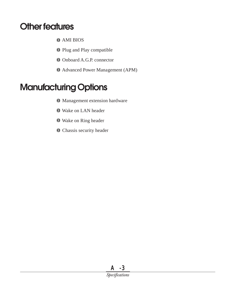# <span id="page-54-0"></span>**Other features**

- **O** AMI BIOS
- **Plug and Play compatible**
- Onboard A.G.P. connector
- Advanced Power Management (APM)

# **Manufacturing Options**

- Management extension hardware
- Wake on LAN header
- Wake on Ring header
- **O** Chassis security header

#### *A-3*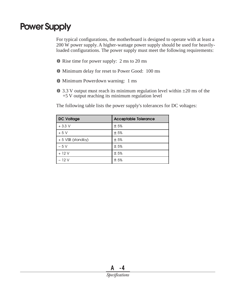# <span id="page-55-0"></span>**Power Supply**

For typical configurations, the motherboard is designed to operate with at least a 200 W power supply. A higher-wattage power supply should be used for heavilyloaded configurations. The power supply must meet the following requirements:

- Rise time for power supply: 2 ms to 20 ms
- Minimum delay for reset to Power Good: 100 ms
- Minimum Powerdown warning: 1 ms
- $\overline{0}$  3.3 V output must reach its minimum regulation level within  $\pm 20$  ms of the  $+5$  V output reaching its minimum regulation level

The following table lists the power supply's tolerances for DC voltages:

| <b>DC Voltage</b> | <b>Acceptable Tolerance</b> |
|-------------------|-----------------------------|
| $+3.3$ V          | ± 5%                        |
| $+5V$             | ±5%                         |
| + 5 VSB (standby) | ±5%                         |
| $-5V$             | ±5%                         |
| $+12V$            | ±5%                         |
| $-12V$            | ±5%                         |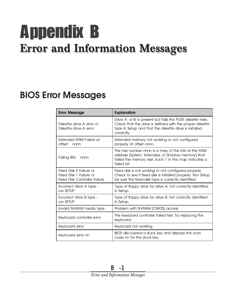# <span id="page-56-0"></span>Appendix B **Error and Information Messages Error and Information Messages**

# **BIOS Error Messages**

| <b>Error Message</b>                                                                       | <b>Explanation</b>                                                                                                                                                                               |
|--------------------------------------------------------------------------------------------|--------------------------------------------------------------------------------------------------------------------------------------------------------------------------------------------------|
| Diskette drive A error or<br>Diskette drive A error                                        | Drive A: or B: is present but fails the POST diskette tests.<br>Check that the drive is defined with the proper diskette<br>type in Setup and that the diskette drive is installed<br>correctly. |
| Extended RAM Failed at<br>offset:<br>nnnn                                                  | Extended memory not working or not configured<br>properly at offset nnnn.                                                                                                                        |
| <b>Failing Bits:</b><br>nnnn                                                               | The hex number nnnn is a map of the bits at the RAM<br>address (System, Extended, or Shadow memory) that<br>failed the memory test. Each 1 in the map indicates a<br>failed bit.                 |
| Fixed Disk 0 Failure or<br>Fixed Disk 1 Failure or<br><b>Fixed Disk Controller Failure</b> | Fixed disk is not working or not configured properly.<br>Check to see if fixed disk is installed properly. Run Setup<br>be sure the fixed-disk type is correctly identified.                     |
| Incorrect drive A type -<br>run SETUP                                                      | Type of floppy drive for drive A: not correctly identified<br>in Setup.                                                                                                                          |
| Incorrect drive B type -<br>run SETUP                                                      | Type of floppy drive for drive B: not correctly identified<br>in Setup.                                                                                                                          |
| Invalid NVRAM media type                                                                   | Problem with NVRAM (CMOS) access                                                                                                                                                                 |
| Keyboard controller error                                                                  | The keyboard controller failed test. Try replacing the<br>keyboard.                                                                                                                              |
| Keyboard error                                                                             | Keyboard not working.                                                                                                                                                                            |
| Keyboard error nn                                                                          | BIOS discovered a stuck key and displays the scan<br>code nn for the stuck key.                                                                                                                  |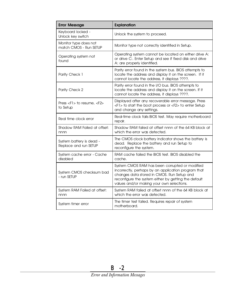| <b>Error Message</b>                                           | <b>Explanation</b>                                                                                                                                                                                                                                       |
|----------------------------------------------------------------|----------------------------------------------------------------------------------------------------------------------------------------------------------------------------------------------------------------------------------------------------------|
| Keyboard locked -<br>Unlock key switch                         | Unlock the system to proceed.                                                                                                                                                                                                                            |
| Monitor type does not<br>match CMOS - Run SETUP                | Monitor type not correctly identified in Setup.                                                                                                                                                                                                          |
| Operating system not<br>found                                  | Operating system cannot be located on either drive A:<br>or drive C:. Enter Setup and see if fixed disk and drive<br>A: are properly identified.                                                                                                         |
| Parity Check 1                                                 | Parity error found in the system bus. BIOS attempts to<br>locate the address and display it on the screen. If it<br>cannot locate the address, it displays ????.                                                                                         |
| Parity Check 2                                                 | Parity error found in the I/O bus. BIOS attempts to<br>locate the address and display it on the screen. If it<br>cannot locate the address, it displays ????.                                                                                            |
| Press $\langle$ F1 $>$ to resume, $\langle$ F2 $>$<br>to Setup | Displayed after any recoverable error message. Press<br><f1> to start the boot process or <f2> to enter Setup<br/>and change any settings.</f2></f1>                                                                                                     |
| Real time clock error                                          | Real-time clock fails BIOS test. May require motherboard<br>repair.                                                                                                                                                                                      |
| Shadow RAM Failed at offset:<br>nnnn                           | Shadow RAM failed at offset nnnn of the 64 KB block at<br>which the error was detected.                                                                                                                                                                  |
| System battery is dead -<br>Replace and run SETUP              | The CMOS clock battery indicator shows the battery is<br>dead. Replace the battery and run Setup to<br>reconfigure the system.                                                                                                                           |
| System cache error - Cache<br>disabled                         | RAM cache failed the BIOS test. BIOS disabled the<br>cache.                                                                                                                                                                                              |
| System CMOS checksum bad<br>- run SETUP                        | System CMOS RAM has been corrupted or modified<br>incorrectly, perhaps by an application program that<br>changes data stored in CMOS. Run Setup and<br>reconfigure the system either by getting the default<br>values and/or making your own selections. |
| System RAM Failed at offset:<br>nnnn                           | System RAM failed at offset nnnn of the 64 KB block at<br>which the error was detected.                                                                                                                                                                  |
| System timer error                                             | The timer test failed. Requires repair of system<br>motherboard.                                                                                                                                                                                         |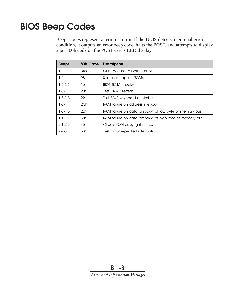# <span id="page-58-0"></span>**BIOS Beep Codes**

Beeps codes represent a terminal error. If the BIOS detects a terminal error condition, it outputs an error beep code, halts the POST, and attempts to display a port 80h code on the POST card's LED display.

| <b>Beeps</b>    | 80h Code        | <b>Description</b>                                        |
|-----------------|-----------------|-----------------------------------------------------------|
|                 | B4h             | One short beep before boot                                |
| $1-2$           | 98h             | Search for option ROMs                                    |
| $1 - 2 - 2 - 3$ | 16h             | <b>BIOS ROM checksum</b>                                  |
| $1 - 3 - 1 - 1$ | 20h             | <b>Test DRAM refresh</b>                                  |
| $1 - 3 - 1 - 3$ | 22h             | Test 8742 keyboard controller                             |
| $1 - 3 - 4 - 1$ | 2 <sub>Ch</sub> | RAM failure on address line xxxx*                         |
| $1 - 3 - 4 - 3$ | 2Eh             | RAM failure on data bits xxxx* of low byte of memory bus  |
| $1 - 4 - 1 - 1$ | 30h             | RAM failure on data bits xxxx* of high byte of memory bus |
| $2 - 1 - 2 - 3$ | 46h             | Check ROM copyright notice                                |
| $2 - 2 - 3 - 1$ | 58h             | Test for unexpected interrupts                            |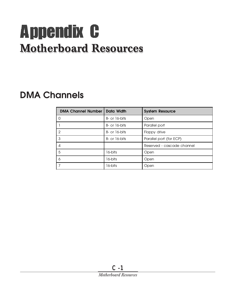# <span id="page-59-0"></span>**Appendix C Motherboard Resources Motherboard Resources**

# **DMA Channels**

| <b>DMA Channel Number</b> | Data Width      | <b>System Resource</b>     |
|---------------------------|-----------------|----------------------------|
| Ω                         | 8- or 16-bits   | Open                       |
|                           | 8- or 16-bits   | Parallel port              |
| 2                         | 8- or 16-bits   | Floppy drive               |
| 3                         | $8-$ or 16-bits | Parallel port (for ECP)    |
|                           |                 | Reserved - cascade channel |
| 5                         | 16-bits         | Open                       |
| 6                         | 16-bits         | Open                       |
|                           | 16-bits         | Open                       |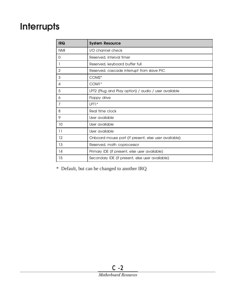# <span id="page-60-0"></span>**Interrupts**

| <b>IRQ</b>     | <b>System Resource</b>                               |
|----------------|------------------------------------------------------|
| <b>NMI</b>     | I/O channel check                                    |
| 0              | Reserved, interval timer                             |
|                | Reserved, keyboard buffer full                       |
| 2              | Reserved, cascade interrupt from slave PIC           |
| 3              | $COM2*$                                              |
| 4              | COM <sub>1</sub> *                                   |
| 5              | LPT2 (Plug and Play option) / audio / user available |
| 6              | Floppy drive                                         |
| $\overline{7}$ | $LPT1*$                                              |
| 8              | Real time clock                                      |
| 9              | User available                                       |
| 10             | User available                                       |
| 11             | User available                                       |
| 12             | Onboard mouse port (if present, else user available) |
| 13             | Reserved, math coprocessor                           |
| 14             | Primary IDE (if present, else user available)        |
| 15             | Secondary IDE (if present, else user available)      |

\* Default, but can be changed to another IRQ

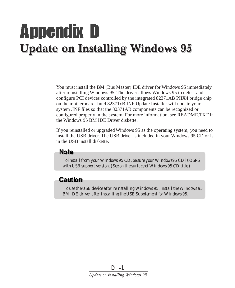# <span id="page-61-0"></span>**Appendix D Update on Installing Windows 95 Update on Installing Windows 95**

You must install the BM (Bus Master) IDE driver for Windows 95 immediately after reinstalling Windows 95. The driver allows Windows 95 to detect and configure PCI devices controlled by the integrated 82371AB PIIX4 bridge chip on the motherboard. Intel 82371xB INF Update Installer will update your system .INF files so that the 82371AB components can be recognized or configured properly in the system. For more information, see README.TXT in the Windows 95 BM IDE Driver diskette.

If you reinstalled or upgraded Windows 95 as the operating system, you need to install the USB driver. The USB driver is included in your Windows 95 CD or is in the USB install diskette.

#### Note .

*To install from your Windows 95 CD, be sure your Windows95 CD is OSR2 with USB support version. (See on the surface of Windows 95 CD title.)*

#### **Caution**

 *To use the USB device after reinstalling Windows 95, install the Windows 95 BM IDE driver after installing the USB Supplement for Windows 95.*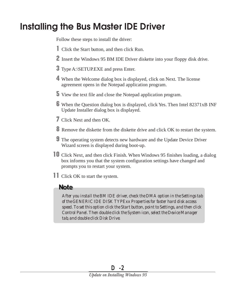# <span id="page-62-0"></span>**Installing the Bus Master IDE Driver**

Follow these steps to install the driver:

- 1 Click the Start button, and then click Run.
- 2 Insert the Windows 95 BM IDE Driver diskette into your floppy disk drive.
- **3** Type A:\SETUP.EXE and press Enter.
- 4 When the Welcome dialog box is displayed, click on Next. The license agreement opens in the Notepad application program.
- 5 View the text file and close the Notepad application program.
- 6 When the Question dialog box is displayed, click Yes. Then Intel 82371xB INF Update Installer dialog box is displayed.
- **7** Click Next and then OK.
- 8 Remove the diskette from the diskette drive and click OK to restart the system.
- 9 The operating system detects new hardware and the Update Device Driver Wizard screen is displayed during boot-up.
- 10 Click Next, and then click Finish. When Windows 95 finishes loading, a dialog box informs you that the system configuration settings have changed and prompts you to restart your system.
- **11** Click OK to start the system.

#### **Note**

*After you install the BM IDE driver, check the DMA option in the Settings tab of the GENERIC IDE DISK TYPExx Properties for faster hard disk access speed. To set this option click the Start button, point to Settings, and then click Control Panel. Then double click the System icon, select the Device Manager tab, and double click Disk Drive.*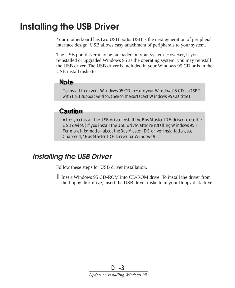# <span id="page-63-0"></span>**Installing the USB Driver**

Your motherboard has two USB ports. USB is the next generation of peripheral interface design. USB allows easy attachment of peripherals to your system.

The USB port driver may be preloaded on your system. However, if you reinstalled or upgraded Windows 95 as the operating system, you may reinstall the USB driver. The USB driver is included in your Windows 95 CD or is in the USB install diskette.

#### **Note**

*To install from your Windows 95 CD, be sure your Windows95 CD is OSR2 with USB support version. (See on the surface of Windows 95 CD title.)*

#### **Caution**

*After you install the USB driver, install the Bus Master IDE driver to use the USB device. (If you install the USB driver, after reinstalling Windows 95.) For more information about the Bus Master IDE driver installation, see Chapter 4, "Bus Master IDE Driver for Windows 95."*

# **Installing the USB Driver**

Follow these steps for USB driver installation.

1 Insert Windows 95 CD-ROM into CD-ROM drive. To install the driver from the floppy disk drive, insert the USB driver diskette in your floppy disk drive.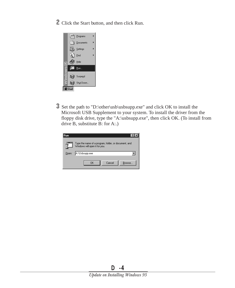2 Click the Start button, and then click Run.



3 Set the path to "D:\other\usb\usbsupp.exe" and click OK to install the Microsoft USB Supplement to your system. To install the driver from the floppy disk drive, type the "A:\usbsupp.exe", then click OK. (To install from drive B, substitute B: for A:.)

| Run   |                                                                                       |
|-------|---------------------------------------------------------------------------------------|
|       | Type the name of a program, folder, or document, and<br>Windows will open it for you. |
| Open: | A:\Usbsupp.exe                                                                        |
|       | Cancel<br>Browse.<br>OK                                                               |